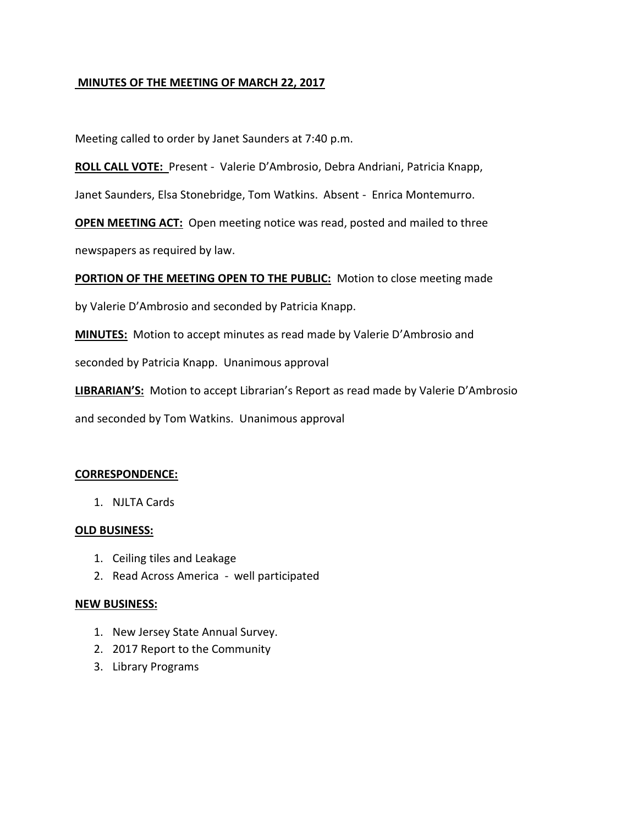# **MINUTES OF THE MEETING OF MARCH 22, 2017**

Meeting called to order by Janet Saunders at 7:40 p.m.

**ROLL CALL VOTE:** Present - Valerie D'Ambrosio, Debra Andriani, Patricia Knapp,

Janet Saunders, Elsa Stonebridge, Tom Watkins. Absent - Enrica Montemurro.

**OPEN MEETING ACT:** Open meeting notice was read, posted and mailed to three newspapers as required by law.

**PORTION OF THE MEETING OPEN TO THE PUBLIC:** Motion to close meeting made

by Valerie D'Ambrosio and seconded by Patricia Knapp.

**MINUTES:** Motion to accept minutes as read made by Valerie D'Ambrosio and

seconded by Patricia Knapp. Unanimous approval

**LIBRARIAN'S:** Motion to accept Librarian's Report as read made by Valerie D'Ambrosio

and seconded by Tom Watkins. Unanimous approval

## **CORRESPONDENCE:**

1. NJLTA Cards

## **OLD BUSINESS:**

- 1. Ceiling tiles and Leakage
- 2. Read Across America well participated

#### **NEW BUSINESS:**

- 1. New Jersey State Annual Survey.
- 2. 2017 Report to the Community
- 3. Library Programs